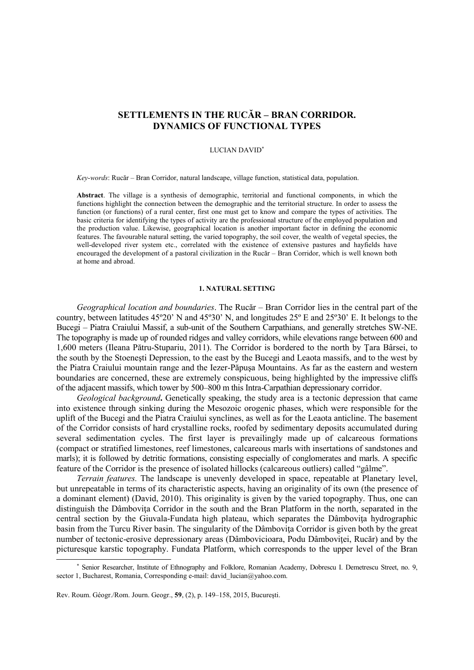# **SETTLEMENTS IN THE RUCĂR – BRAN CORRIDOR. DYNAMICS OF FUNCTIONAL TYPES**

# LUCIAN DAVID<sup>∗</sup>

*Key-words*: Rucăr – Bran Corridor, natural landscape, village function, statistical data, population.

**Abstract**. The village is a synthesis of demographic, territorial and functional components, in which the functions highlight the connection between the demographic and the territorial structure. In order to assess the function (or functions) of a rural center, first one must get to know and compare the types of activities. The basic criteria for identifying the types of activity are the professional structure of the employed population and the production value. Likewise, geographical location is another important factor in defining the economic features. The favourable natural setting, the varied topography, the soil cover, the wealth of vegetal species, the well-developed river system etc., correlated with the existence of extensive pastures and hayfields have encouraged the development of a pastoral civilization in the Rucăr – Bran Corridor, which is well known both at home and abroad.

# **1. NATURAL SETTING**

*Geographical location and boundaries*. The Rucăr – Bran Corridor lies in the central part of the country, between latitudes 45º20' N and 45º30' N, and longitudes 25º E and 25º30' E. It belongs to the Bucegi – Piatra Craiului Massif, a sub-unit of the Southern Carpathians, and generally stretches SW-NE. The topography is made up of rounded ridges and valley corridors, while elevations range between 600 and 1,600 meters (Ileana Pătru-Stupariu, 2011). The Corridor is bordered to the north by Ţara Bârsei, to the south by the Stoeneşti Depression, to the east by the Bucegi and Leaota massifs, and to the west by the Piatra Craiului mountain range and the Iezer-Păpuşa Mountains. As far as the eastern and western boundaries are concerned, these are extremely conspicuous, being highlighted by the impressive cliffs of the adjacent massifs, which tower by 500–800 m this Intra-Carpathian depressionary corridor.

*Geological background***.** Genetically speaking, the study area is a tectonic depression that came into existence through sinking during the Mesozoic orogenic phases, which were responsible for the uplift of the Bucegi and the Piatra Craiului synclines, as well as for the Leaota anticline. The basement of the Corridor consists of hard crystalline rocks, roofed by sedimentary deposits accumulated during several sedimentation cycles. The first layer is prevailingly made up of calcareous formations (compact or stratified limestones, reef limestones, calcareous marls with insertations of sandstones and marls); it is followed by detritic formations, consisting especially of conglomerates and marls. A specific feature of the Corridor is the presence of isolated hillocks (calcareous outliers) called "gâlme".

*Terrain features.* The landscape is unevenly developed in space, repeatable at Planetary level, but unrepeatable in terms of its characteristic aspects, having an originality of its own (the presence of a dominant element) (David, 2010). This originality is given by the varied topography. Thus, one can distinguish the Dâmbovita Corridor in the south and the Bran Platform in the north, separated in the central section by the Giuvala-Fundata high plateau, which separates the Dâmboviţa hydrographic basin from the Turcu River basin. The singularity of the Dâmbovita Corridor is given both by the great number of tectonic-erosive depressionary areas (Dâmbovicioara, Podu Dâmboviţei, Rucăr) and by the picturesque karstic topography. Fundata Platform, which corresponds to the upper level of the Bran

1

<sup>∗</sup> Senior Researcher, Institute of Ethnography and Folklore, Romanian Academy, Dobrescu I. Demetrescu Street, no. 9, sector 1, Bucharest, Romania, Corresponding e-mail: david lucian@yahoo.com.

Rev. Roum. Géogr./Rom. Journ. Geogr., **59**, (2), p. 149–158, 2015, Bucureşti.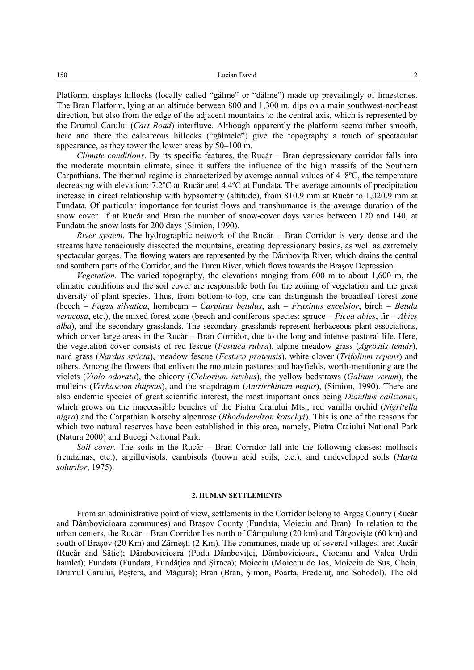Platform, displays hillocks (locally called "gâlme" or "dâlme") made up prevailingly of limestones. The Bran Platform, lying at an altitude between 800 and 1,300 m, dips on a main southwest-northeast direction, but also from the edge of the adjacent mountains to the central axis, which is represented by the Drumul Carului (*Cart Road*) interfluve. Although apparently the platform seems rather smooth, here and there the calcareous hillocks ("gâlmele") give the topography a touch of spectacular appearance, as they tower the lower areas by 50–100 m.

*Climate conditions*. By its specific features, the Rucăr – Bran depressionary corridor falls into the moderate mountain climate, since it suffers the influence of the high massifs of the Southern Carpathians. The thermal regime is characterized by average annual values of 4–8ºC, the temperature decreasing with elevation: 7.2ºC at Rucăr and 4.4ºC at Fundata. The average amounts of precipitation increase in direct relationship with hypsometry (altitude), from 810.9 mm at Rucăr to 1,020.9 mm at Fundata. Of particular importance for tourist flows and transhumance is the average duration of the snow cover. If at Rucăr and Bran the number of snow-cover days varies between 120 and 140, at Fundata the snow lasts for 200 days (Simion, 1990).

*River system*. The hydrographic network of the Rucăr – Bran Corridor is very dense and the streams have tenaciously dissected the mountains, creating depressionary basins, as well as extremely spectacular gorges. The flowing waters are represented by the Dâmbovita River, which drains the central and southern parts of the Corridor, and the Turcu River, which flows towards the Braşov Depression.

*Vegetation.* The varied topography, the elevations ranging from 600 m to about 1,600 m, the climatic conditions and the soil cover are responsible both for the zoning of vegetation and the great diversity of plant species. Thus, from bottom-to-top, one can distinguish the broadleaf forest zone (beech – *Fagus silvatica*, hornbeam – *Carpinus betulus*, ash – *Fraxinus excelsior*, birch – *Betula verucosa*, etc.), the mixed forest zone (beech and coniferous species: spruce – *Picea abies*, fir – *Abies alba*), and the secondary grasslands. The secondary grasslands represent herbaceous plant associations, which cover large areas in the Rucăr – Bran Corridor, due to the long and intense pastoral life. Here, the vegetation cover consists of red fescue (*Festuca rubra*), alpine meadow grass (*Agrostis tenuis*), nard grass (*Nardus stricta*), meadow fescue (*Festuca pratensis*), white clover (*Trifolium repens*) and others. Among the flowers that enliven the mountain pastures and hayfields, worth-mentioning are the violets (*Violo odorata*), the chicory (*Cichorium intybus*), the yellow bedstraws (*Galium verum*), the mulleins (*Verbascum thapsus*), and the snapdragon (*Antrirrhinum majus*), (Simion, 1990). There are also endemic species of great scientific interest, the most important ones being *Dianthus callizonus*, which grows on the inaccessible benches of the Piatra Craiului Mts., red vanilla orchid (*Nigritella nigra*) and the Carpathian Kotschy alpenrose (*Rhododendron kotschyi*). This is one of the reasons for which two natural reserves have been established in this area, namely, Piatra Craiului National Park (Natura 2000) and Bucegi National Park.

*Soil cover.* The soils in the Rucăr – Bran Corridor fall into the following classes: mollisols (rendzinas, etc.), argilluvisols, cambisols (brown acid soils, etc.), and undeveloped soils (*Harta solurilor*, 1975).

# **2. HUMAN SETTLEMENTS**

From an administrative point of view, settlements in the Corridor belong to Argeş County (Rucăr and Dâmbovicioara communes) and Braşov County (Fundata, Moieciu and Bran). In relation to the urban centers, the Rucăr – Bran Corridor lies north of Câmpulung (20 km) and Târgovişte (60 km) and south of Braşov (20 Km) and Zărneşti (2 Km). The communes, made up of several villages, are: Rucăr (Rucăr and Sătic); Dâmbovicioara (Podu Dâmbovitei, Dâmbovicioara, Ciocanu and Valea Urdii hamlet); Fundata (Fundata, Fundățica and Sirnea); Moieciu (Moieciu de Jos, Moieciu de Sus, Cheia, Drumul Carului, Peştera, and Măgura); Bran (Bran, Şimon, Poarta, Predeluţ, and Sohodol). The old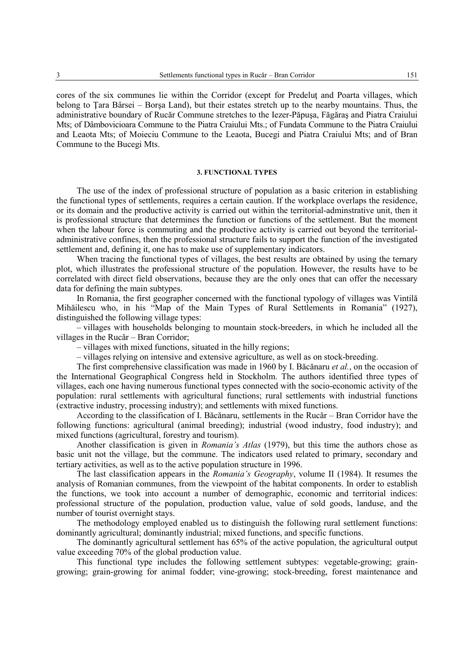cores of the six communes lie within the Corridor (except for Predelut and Poarta villages, which belong to Tara Bârsei – Borsa Land), but their estates stretch up to the nearby mountains. Thus, the administrative boundary of Rucăr Commune stretches to the Iezer-Păpuşa, Făgăraş and Piatra Craiului Mts; of Dâmbovicioara Commune to the Piatra Craiului Mts.; of Fundata Commune to the Piatra Craiului and Leaota Mts; of Moieciu Commune to the Leaota, Bucegi and Piatra Craiului Mts; and of Bran Commune to the Bucegi Mts.

## **3. FUNCTIONAL TYPES**

The use of the index of professional structure of population as a basic criterion in establishing the functional types of settlements, requires a certain caution. If the workplace overlaps the residence, or its domain and the productive activity is carried out within the territorial-adminstrative unit, then it is professional structure that determines the function or functions of the settlement. But the moment when the labour force is commuting and the productive activity is carried out beyond the territorialadministrative confines, then the professional structure fails to support the function of the investigated settlement and, defining it, one has to make use of supplementary indicators.

When tracing the functional types of villages, the best results are obtained by using the ternary plot, which illustrates the professional structure of the population. However, the results have to be correlated with direct field observations, because they are the only ones that can offer the necessary data for defining the main subtypes.

In Romania, the first geographer concerned with the functional typology of villages was Vintilă Mihăilescu who, in his "Map of the Main Types of Rural Settlements in Romania" (1927), distinguished the following village types:

– villages with households belonging to mountain stock-breeders, in which he included all the villages in the Rucăr – Bran Corridor;

– villages with mixed functions, situated in the hilly regions;

– villages relying on intensive and extensive agriculture, as well as on stock-breeding.

The first comprehensive classification was made in 1960 by I. Băcănaru *et al.*, on the occasion of the International Geographical Congress held in Stockholm. The authors identified three types of villages, each one having numerous functional types connected with the socio-economic activity of the population: rural settlements with agricultural functions; rural settlements with industrial functions (extractive industry, processing industry); and settlements with mixed functions.

According to the classification of I. Băcănaru, settlements in the Rucăr – Bran Corridor have the following functions: agricultural (animal breeding); industrial (wood industry, food industry); and mixed functions (agricultural, forestry and tourism).

Another classification is given in *Romania's Atlas* (1979), but this time the authors chose as basic unit not the village, but the commune. The indicators used related to primary, secondary and tertiary activities, as well as to the active population structure in 1996.

The last classification appears in the *Romania's Geography*, volume II (1984). It resumes the analysis of Romanian communes, from the viewpoint of the habitat components. In order to establish the functions, we took into account a number of demographic, economic and territorial indices: professional structure of the population, production value, value of sold goods, landuse, and the number of tourist overnight stays.

The methodology employed enabled us to distinguish the following rural settlement functions: dominantly agricultural; dominantly industrial; mixed functions, and specific functions.

The dominantly agricultural settlement has 65% of the active population, the agricultural output value exceeding 70% of the global production value.

This functional type includes the following settlement subtypes: vegetable-growing; graingrowing; grain-growing for animal fodder; vine-growing; stock-breeding, forest maintenance and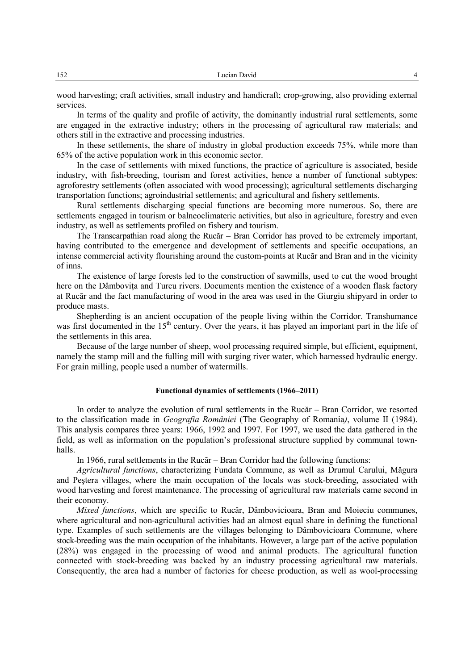wood harvesting; craft activities, small industry and handicraft; crop-growing, also providing external services.

In terms of the quality and profile of activity, the dominantly industrial rural settlements, some are engaged in the extractive industry; others in the processing of agricultural raw materials; and others still in the extractive and processing industries.

In these settlements, the share of industry in global production exceeds 75%, while more than 65% of the active population work in this economic sector.

In the case of settlements with mixed functions, the practice of agriculture is associated, beside industry, with fish-breeding, tourism and forest activities, hence a number of functional subtypes: agroforestry settlements (often associated with wood processing); agricultural settlements discharging transportation functions; agroindustrial settlements; and agricultural and fishery settlements.

Rural settlements discharging special functions are becoming more numerous. So, there are settlements engaged in tourism or balneoclimateric activities, but also in agriculture, forestry and even industry, as well as settlements profiled on fishery and tourism.

The Transcarpathian road along the Rucăr – Bran Corridor has proved to be extremely important, having contributed to the emergence and development of settlements and specific occupations, an intense commercial activity flourishing around the custom-points at Rucăr and Bran and in the vicinity of inns.

The existence of large forests led to the construction of sawmills, used to cut the wood brought here on the Dâmbovita and Turcu rivers. Documents mention the existence of a wooden flask factory at Rucăr and the fact manufacturing of wood in the area was used in the Giurgiu shipyard in order to produce masts.

Shepherding is an ancient occupation of the people living within the Corridor. Transhumance was first documented in the 15<sup>th</sup> century. Over the years, it has played an important part in the life of the settlements in this area.

Because of the large number of sheep, wool processing required simple, but efficient, equipment, namely the stamp mill and the fulling mill with surging river water, which harnessed hydraulic energy. For grain milling, people used a number of watermills.

# **Functional dynamics of settlements (1966–2011)**

In order to analyze the evolution of rural settlements in the Rucăr – Bran Corridor, we resorted to the classification made in *Geografia României* (The Geography of Romania*)*, volume II (1984). This analysis compares three years: 1966, 1992 and 1997. For 1997, we used the data gathered in the field, as well as information on the population's professional structure supplied by communal townhalls.

In 1966, rural settlements in the Rucăr – Bran Corridor had the following functions:

*Agricultural functions*, characterizing Fundata Commune, as well as Drumul Carului, Măgura and Peştera villages, where the main occupation of the locals was stock-breeding, associated with wood harvesting and forest maintenance. The processing of agricultural raw materials came second in their economy.

*Mixed functions*, which are specific to Rucăr, Dâmbovicioara, Bran and Moieciu communes, where agricultural and non-agricultural activities had an almost equal share in defining the functional type. Examples of such settlements are the villages belonging to Dâmbovicioara Commune, where stock-breeding was the main occupation of the inhabitants. However, a large part of the active population (28%) was engaged in the processing of wood and animal products. The agricultural function connected with stock-breeding was backed by an industry processing agricultural raw materials. Consequently, the area had a number of factories for cheese production, as well as wool-processing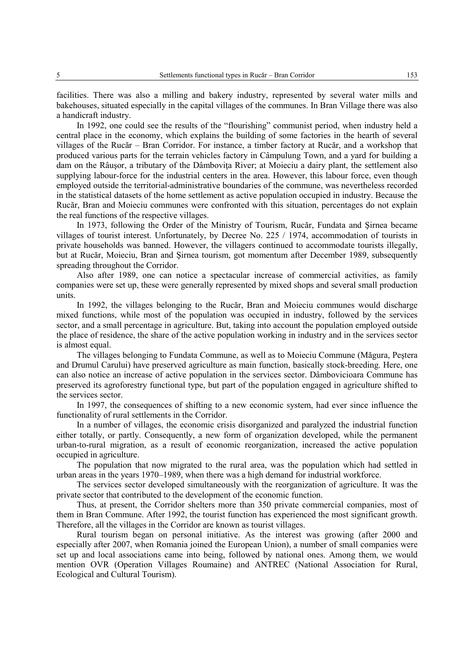facilities. There was also a milling and bakery industry, represented by several water mills and bakehouses, situated especially in the capital villages of the communes. In Bran Village there was also a handicraft industry.

In 1992, one could see the results of the "flourishing" communist period, when industry held a central place in the economy, which explains the building of some factories in the hearth of several villages of the Rucăr – Bran Corridor. For instance, a timber factory at Rucăr, and a workshop that produced various parts for the terrain vehicles factory in Câmpulung Town, and a yard for building a dam on the Râusor, a tributary of the Dâmbovita River; at Moieciu a dairy plant, the settlement also supplying labour-force for the industrial centers in the area. However, this labour force, even though employed outside the territorial-administrative boundaries of the commune, was nevertheless recorded in the statistical datasets of the home settlement as active population occupied in industry. Because the Rucăr, Bran and Moieciu communes were confronted with this situation, percentages do not explain the real functions of the respective villages.

In 1973, following the Order of the Ministry of Tourism, Rucăr, Fundata and Şirnea became villages of tourist interest. Unfortunately, by Decree No. 225 / 1974, accommodation of tourists in private households was banned. However, the villagers continued to accommodate tourists illegally, but at Rucăr, Moieciu, Bran and Şirnea tourism, got momentum after December 1989, subsequently spreading throughout the Corridor.

Also after 1989, one can notice a spectacular increase of commercial activities, as family companies were set up, these were generally represented by mixed shops and several small production units.

In 1992, the villages belonging to the Rucăr, Bran and Moieciu communes would discharge mixed functions, while most of the population was occupied in industry, followed by the services sector, and a small percentage in agriculture. But, taking into account the population employed outside the place of residence, the share of the active population working in industry and in the services sector is almost equal.

The villages belonging to Fundata Commune, as well as to Moieciu Commune (Măgura, Peştera and Drumul Carului) have preserved agriculture as main function, basically stock-breeding. Here, one can also notice an increase of active population in the services sector. Dâmbovicioara Commune has preserved its agroforestry functional type, but part of the population engaged in agriculture shifted to the services sector.

In 1997, the consequences of shifting to a new economic system, had ever since influence the functionality of rural settlements in the Corridor.

In a number of villages, the economic crisis disorganized and paralyzed the industrial function either totally, or partly. Consequently, a new form of organization developed, while the permanent urban-to-rural migration, as a result of economic reorganization, increased the active population occupied in agriculture.

The population that now migrated to the rural area, was the population which had settled in urban areas in the years 1970–1989, when there was a high demand for industrial workforce.

The services sector developed simultaneously with the reorganization of agriculture. It was the private sector that contributed to the development of the economic function.

Thus, at present, the Corridor shelters more than 350 private commercial companies, most of them in Bran Commune. After 1992, the tourist function has experienced the most significant growth. Therefore, all the villages in the Corridor are known as tourist villages.

Rural tourism began on personal initiative. As the interest was growing (after 2000 and especially after 2007, when Romania joined the European Union), a number of small companies were set up and local associations came into being, followed by national ones. Among them, we would mention OVR (Operation Villages Roumaine) and ANTREC (National Association for Rural, Ecological and Cultural Tourism).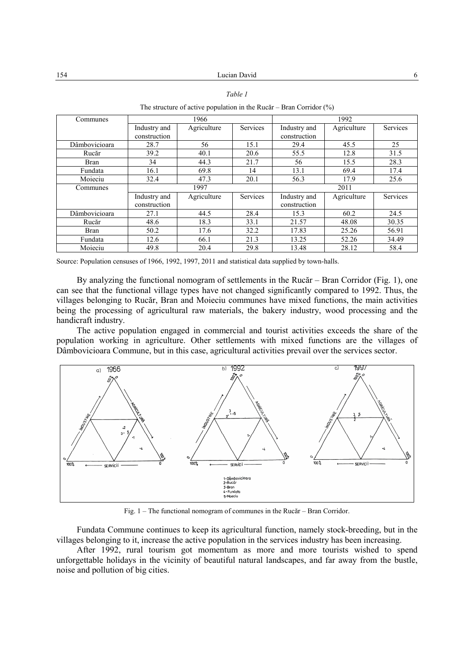|               |              | The structure of active population in the Rucăr – Bran Corridor $(\%)$ |          |              |             |          |
|---------------|--------------|------------------------------------------------------------------------|----------|--------------|-------------|----------|
| Communes      | 1966         |                                                                        |          | 1992         |             |          |
|               | Industry and | Agriculture                                                            | Services | Industry and | Agriculture | Services |
|               | construction |                                                                        |          | construction |             |          |
| Dâmbovicioara | 28.7         | 56                                                                     | 15.1     | 29.4         | 45.5        | 25       |
| Rucăr         | 39.2         | 40.1                                                                   | 20.6     | 55.5         | 12.8        | 31.5     |
| Bran          | 34           | 44.3                                                                   | 21.7     | 56           | 15.5        | 28.3     |
| Fundata       | 16.1         | 69.8                                                                   | 14       | 13.1         | 69.4        | 17.4     |
| Moieciu       | 32.4         | 47.3                                                                   | 20.1     | 56.3         | 17.9        | 25.6     |
| Communes      | 1997         |                                                                        |          | 2011         |             |          |
|               | Industry and | Agriculture                                                            | Services | Industry and | Agriculture | Services |

Pâmbovicioara 27.1 44.5 28.4 15.3 60.2 24.5<br>Rucăr 48.6 18.3 33.1 21.57 48.08 30.35 Rucăr | 48.6 | 18.3 | 33.1 | 21.57 | 48.08 | 30.35 Bran 1 50.2 17.6 32.2 17.83 25.26 56.91 Fundata | 12.6 | 66.1 | 21.3 | 13.25 | 52.26 | 34.49 Moieciu | 49.8 | 20.4 | 29.8 | 13.48 | 28.12 | 58.4

 $\frac{\text{construction}}{15.3}$ 

#### *Table 1*

Source: Population censuses of 1966, 1992, 1997, 2011 and statistical data supplied by town-halls.

construction

By analyzing the functional nomogram of settlements in the Rucăr – Bran Corridor (Fig. 1), one can see that the functional village types have not changed significantly compared to 1992. Thus, the villages belonging to Rucăr, Bran and Moieciu communes have mixed functions, the main activities being the processing of agricultural raw materials, the bakery industry, wood processing and the handicraft industry.

The active population engaged in commercial and tourist activities exceeds the share of the population working in agriculture. Other settlements with mixed functions are the villages of Dâmbovicioara Commune, but in this case, agricultural activities prevail over the services sector.



Fig. 1 – The functional nomogram of communes in the Rucăr – Bran Corridor.

Fundata Commune continues to keep its agricultural function, namely stock-breeding, but in the villages belonging to it, increase the active population in the services industry has been increasing.

After 1992, rural tourism got momentum as more and more tourists wished to spend unforgettable holidays in the vicinity of beautiful natural landscapes, and far away from the bustle, noise and pollution of big cities.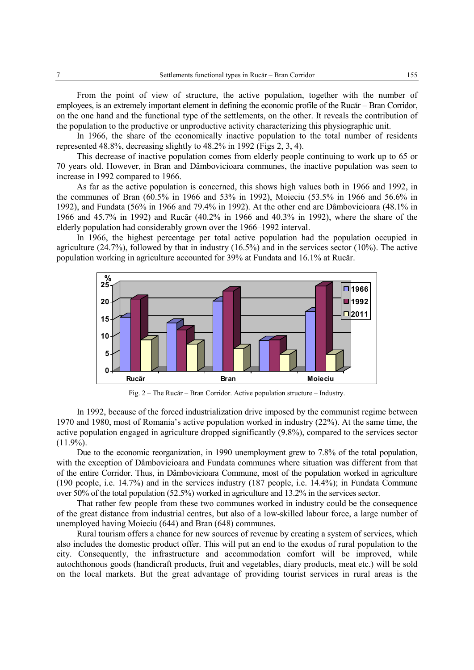From the point of view of structure, the active population, together with the number of employees, is an extremely important element in defining the economic profile of the Rucăr – Bran Corridor, on the one hand and the functional type of the settlements, on the other. It reveals the contribution of the population to the productive or unproductive activity characterizing this physiographic unit.

In 1966, the share of the economically inactive population to the total number of residents represented 48.8%, decreasing slightly to 48.2% in 1992 (Figs 2, 3, 4).

This decrease of inactive population comes from elderly people continuing to work up to 65 or 70 years old. However, in Bran and Dâmbovicioara communes, the inactive population was seen to increase in 1992 compared to 1966.

As far as the active population is concerned, this shows high values both in 1966 and 1992, in the communes of Bran (60.5% in 1966 and 53% in 1992), Moieciu (53.5% in 1966 and 56.6% in 1992), and Fundata (56% in 1966 and 79.4% in 1992). At the other end are Dâmbovicioara (48.1% in 1966 and 45.7% in 1992) and Rucăr (40.2% in 1966 and 40.3% in 1992), where the share of the elderly population had considerably grown over the 1966–1992 interval.

In 1966, the highest percentage per total active population had the population occupied in agriculture (24.7%), followed by that in industry (16.5%) and in the services sector (10%). The active population working in agriculture accounted for 39% at Fundata and 16.1% at Rucăr.



Fig. 2 – The Rucăr – Bran Corridor. Active population structure – Industry.

In 1992, because of the forced industrialization drive imposed by the communist regime between 1970 and 1980, most of Romania's active population worked in industry (22%). At the same time, the active population engaged in agriculture dropped significantly (9.8%), compared to the services sector  $(11.9\%)$ .

Due to the economic reorganization, in 1990 unemployment grew to 7.8% of the total population, with the exception of Dâmbovicioara and Fundata communes where situation was different from that of the entire Corridor. Thus, in Dâmbovicioara Commune, most of the population worked in agriculture (190 people, i.e. 14.7%) and in the services industry (187 people, i.e. 14.4%); in Fundata Commune over 50% of the total population (52.5%) worked in agriculture and 13.2% in the services sector.

That rather few people from these two communes worked in industry could be the consequence of the great distance from industrial centres, but also of a low-skilled labour force, a large number of unemployed having Moieciu (644) and Bran (648) communes.

Rural tourism offers a chance for new sources of revenue by creating a system of services, which also includes the domestic product offer. This will put an end to the exodus of rural population to the city. Consequently, the infrastructure and accommodation comfort will be improved, while autochthonous goods (handicraft products, fruit and vegetables, diary products, meat etc.) will be sold on the local markets. But the great advantage of providing tourist services in rural areas is the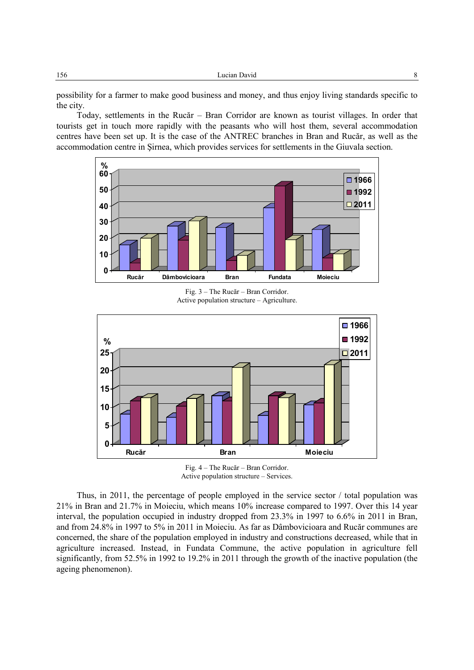possibility for a farmer to make good business and money, and thus enjoy living standards specific to the city.

Today, settlements in the Rucăr – Bran Corridor are known as tourist villages. In order that tourists get in touch more rapidly with the peasants who will host them, several accommodation centres have been set up. It is the case of the ANTREC branches in Bran and Rucăr, as well as the accommodation centre in Şirnea, which provides services for settlements in the Giuvala section.



Fig. 3 – The Rucăr – Bran Corridor. Active population structure – Agriculture.



Fig. 4 – The Rucăr – Bran Corridor. Active population structure – Services.

Thus, in 2011, the percentage of people employed in the service sector / total population was 21% in Bran and 21.7% in Moieciu, which means 10% increase compared to 1997. Over this 14 year interval, the population occupied in industry dropped from 23.3% in 1997 to 6.6% in 2011 in Bran, and from 24.8% in 1997 to 5% in 2011 in Moieciu. As far as Dâmbovicioara and Rucăr communes are concerned, the share of the population employed in industry and constructions decreased, while that in agriculture increased. Instead, in Fundata Commune, the active population in agriculture fell significantly, from 52.5% in 1992 to 19.2% in 2011 through the growth of the inactive population (the ageing phenomenon).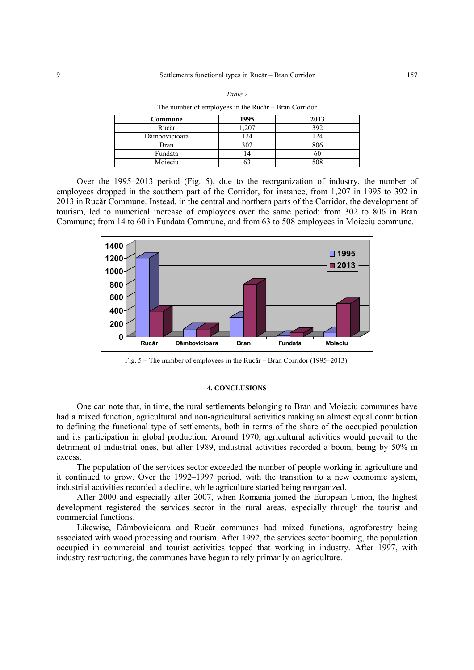| $\overline{\phantom{a}}$ |      |      |  |  |  |
|--------------------------|------|------|--|--|--|
| Commune                  | 1995 | 2013 |  |  |  |
| Rucăr                    | ,207 | 392  |  |  |  |
| Dâmbovicioara            | 124  | 124  |  |  |  |
| Bran                     | 302  | 806  |  |  |  |
| Fundata                  | 14   | 60   |  |  |  |
| Moieciu                  |      | 508  |  |  |  |
|                          |      |      |  |  |  |

| ۰.<br>۰. |  |
|----------|--|

The number of employees in the Rucăr – Bran Corridor

Over the 1995–2013 period (Fig. 5), due to the reorganization of industry, the number of employees dropped in the southern part of the Corridor, for instance, from 1,207 in 1995 to 392 in 2013 in Rucăr Commune. Instead, in the central and northern parts of the Corridor, the development of tourism, led to numerical increase of employees over the same period: from 302 to 806 in Bran Commune; from 14 to 60 in Fundata Commune, and from 63 to 508 employees in Moieciu commune.



Fig. 5 – The number of employees in the Rucăr – Bran Corridor (1995–2013).

#### **4. CONCLUSIONS**

One can note that, in time, the rural settlements belonging to Bran and Moieciu communes have had a mixed function, agricultural and non-agricultural activities making an almost equal contribution to defining the functional type of settlements, both in terms of the share of the occupied population and its participation in global production. Around 1970, agricultural activities would prevail to the detriment of industrial ones, but after 1989, industrial activities recorded a boom, being by 50% in excess.

The population of the services sector exceeded the number of people working in agriculture and it continued to grow. Over the 1992–1997 period, with the transition to a new economic system, industrial activities recorded a decline, while agriculture started being reorganized.

After 2000 and especially after 2007, when Romania joined the European Union, the highest development registered the services sector in the rural areas, especially through the tourist and commercial functions.

Likewise, Dâmbovicioara and Rucăr communes had mixed functions, agroforestry being associated with wood processing and tourism. After 1992, the services sector booming, the population occupied in commercial and tourist activities topped that working in industry. After 1997, with industry restructuring, the communes have begun to rely primarily on agriculture.